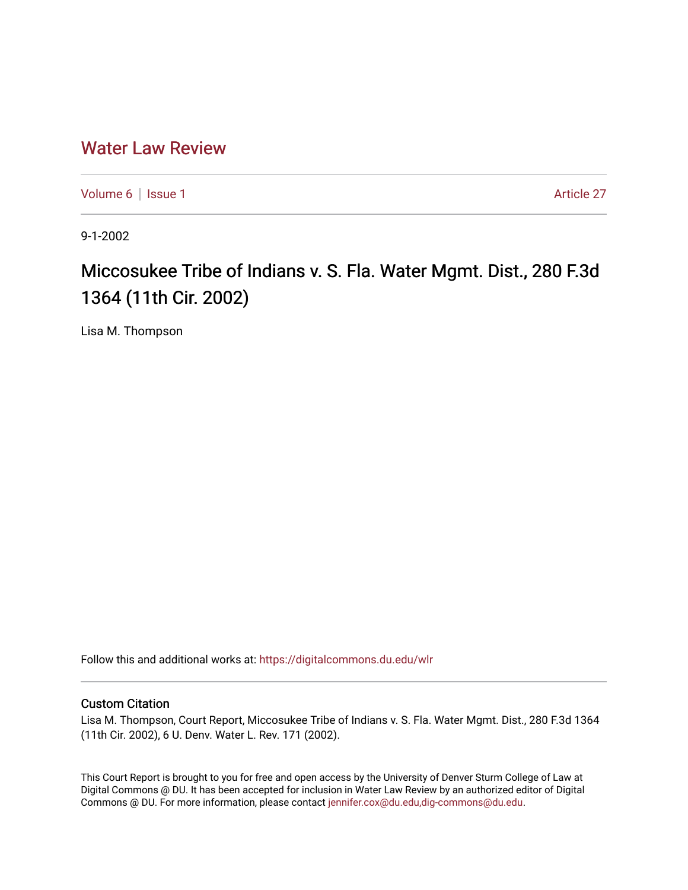## [Water Law Review](https://digitalcommons.du.edu/wlr)

[Volume 6](https://digitalcommons.du.edu/wlr/vol6) | [Issue 1](https://digitalcommons.du.edu/wlr/vol6/iss1) Article 27

9-1-2002

## Miccosukee Tribe of Indians v. S. Fla. Water Mgmt. Dist., 280 F.3d 1364 (11th Cir. 2002)

Lisa M. Thompson

Follow this and additional works at: [https://digitalcommons.du.edu/wlr](https://digitalcommons.du.edu/wlr?utm_source=digitalcommons.du.edu%2Fwlr%2Fvol6%2Fiss1%2F27&utm_medium=PDF&utm_campaign=PDFCoverPages) 

## Custom Citation

Lisa M. Thompson, Court Report, Miccosukee Tribe of Indians v. S. Fla. Water Mgmt. Dist., 280 F.3d 1364 (11th Cir. 2002), 6 U. Denv. Water L. Rev. 171 (2002).

This Court Report is brought to you for free and open access by the University of Denver Sturm College of Law at Digital Commons @ DU. It has been accepted for inclusion in Water Law Review by an authorized editor of Digital Commons @ DU. For more information, please contact [jennifer.cox@du.edu,dig-commons@du.edu.](mailto:jennifer.cox@du.edu,dig-commons@du.edu)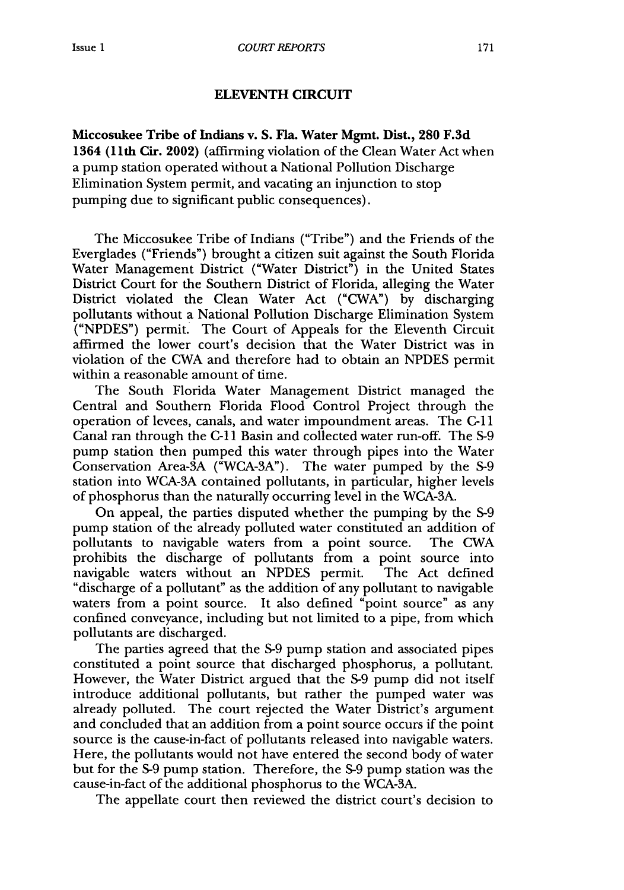## **ELEVENTH CIRCUIT**

**Miccosukee Tribe of Indians v. S. Fla. Water Mgmt. Dist., 280 F.3d** 1364 (1 lth Cir. 2002) (affirming violation of the Clean Water Act when a pump station operated without a National Pollution Discharge Elimination System permit, and vacating an injunction to stop pumping due to significant public consequences).

The Miccosukee Tribe of Indians ("Tribe") and the Friends of the Everglades ("Friends") brought a citizen suit against the South Florida Water Management District ("Water District") in the United States District Court for the Southern District of Florida, alleging the Water District violated the Clean Water Act ("CWA") by discharging pollutants without a National Pollution Discharge Elimination System ("NPDES") permit. The Court of Appeals for the Eleventh Circuit affirmed the lower court's decision that the Water District was in violation of the CWA and therefore had to obtain an NPDES permit within a reasonable amount of time.

The South Florida Water Management District managed the Central and Southern Florida Flood Control Project through the operation of levees, canals, and water impoundment areas. The C-il Canal ran through the **C-1I** Basin and collected water run-off. The S-9 pump station then pumped this water through pipes into the Water Conservation Area-3A ("WCA-3A"). The water pumped by the S-9 station into WCA-3A contained pollutants, in particular, higher levels of phosphorus than the naturally occurring level in the WCA-3A.

On appeal, the parties disputed whether the pumping by the S-9 pump station of the already polluted water constituted an addition of pollutants to navigable waters from a point source. The CWA prohibits the discharge of pollutants from a point source into navigable waters without an NPDES permit. The Act defined "discharge of a pollutant" as the addition of any pollutant to navigable waters from a point source. It also defined "point source" as any confined conveyance, including but not limited to a pipe, from which pollutants are discharged.

The parties agreed that the S-9 pump station and associated pipes constituted a point source that discharged phosphorus, a pollutant. However, the Water District argued that the S-9 pump did not itself introduce additional pollutants, but rather the pumped water was already polluted. The court rejected the Water District's argument and concluded that an addition from a point source occurs if the point source is the cause-in-fact of pollutants released into navigable waters. Here, the pollutants would not have entered the second body of water but for the S-9 pump station. Therefore, the **S-9** pump station was the cause-in-fact of the additional phosphorus to the WCA-3A.

The appellate court then reviewed the district court's decision to